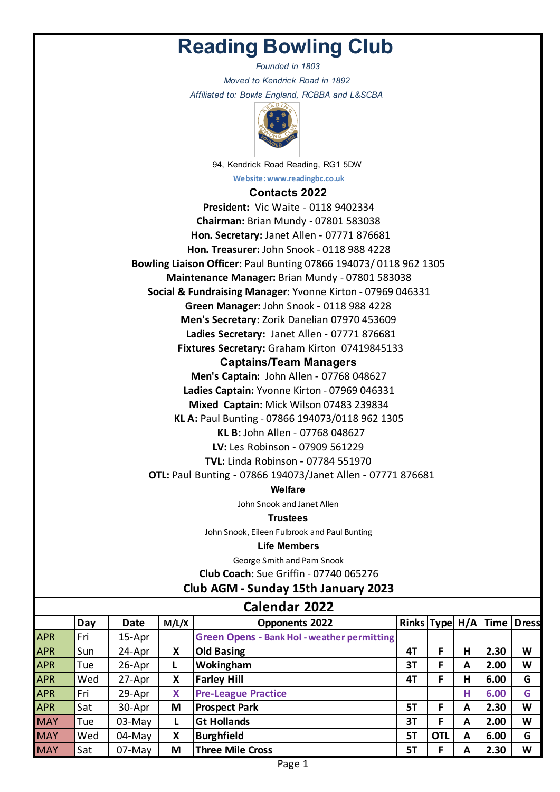# **Reading Bowling Club**

*Founded in 1803 Moved to Kendrick Road in 1892 Affiliated to: Bowls England, RCBBA and L&SCBA* 



94, Kendrick Road Reading, RG1 5DW

**Website: www.readingbc.co.uk**

## **Contacts 2022**

**KL B:** John Allen - 07768 048627 **Captains/Team Managers Men's Captain:** John Allen - 07768 048627 **Ladies Captain:** Yvonne Kirton - 07969 046331 **Mixed Captain:** Mick Wilson 07483 239834 **KL A:** Paul Bunting - 07866 194073/0118 962 1305 **Social & Fundraising Manager:** Yvonne Kirton - 07969 046331 **Green Manager:** John Snook - 0118 988 4228 **Men's Secretary:** Zorik Danelian 07970 453609 **Ladies Secretary:** Janet Allen - 07771 876681 **Fixtures Secretary:** Graham Kirton 07419845133 **President:** Vic Waite - 0118 9402334 **Chairman:** Brian Mundy - 07801 583038 **Hon. Secretary:** Janet Allen - 07771 876681 **Hon. Treasurer:** John Snook - 0118 988 4228 **Bowling Liaison Officer:** Paul Bunting 07866 194073/ 0118 962 1305 **Maintenance Manager:** Brian Mundy - 07801 583038

**LV:** Les Robinson - 07909 561229

**TVL:** Linda Robinson - 07784 551970 **OTL:** Paul Bunting - 07866 194073/Janet Allen - 07771 876681

## **Welfare**

John Snook and Janet Allen

#### **Trustees**

John Snook, Eileen Fulbrook and Paul Bunting

#### **Life Members**

George Smith and Pam Snook

**Club Coach:** Sue Griffin - 07740 065276

# **Club AGM - Sunday 15th January 2023**

| <b>Calendar 2022</b> |     |             |       |                                                    |           |            |   |                                   |   |
|----------------------|-----|-------------|-------|----------------------------------------------------|-----------|------------|---|-----------------------------------|---|
|                      | Day | <b>Date</b> | M/L/X | <b>Opponents 2022</b>                              |           |            |   | Rinks   Type   H/A   Time   Dress |   |
| <b>APR</b>           | Fri | 15-Apr      |       | <b>Green Opens - Bank Hol - weather permitting</b> |           |            |   |                                   |   |
| <b>APR</b>           | Sun | 24-Apr      | X     | <b>Old Basing</b>                                  | 4T        | F          | н | 2.30                              | W |
| <b>APR</b>           | Tue | 26-Apr      | L     | Wokingham                                          | 3T        | F          | A | 2.00                              | W |
| <b>APR</b>           | Wed | 27-Apr      | X     | <b>Farley Hill</b>                                 | 4T        | F          | н | 6.00                              | G |
| <b>APR</b>           | Fri | 29-Apr      | X     | <b>Pre-League Practice</b>                         |           |            | н | 6.00                              | G |
| <b>APR</b>           | Sat | 30-Apr      | M     | <b>Prospect Park</b>                               | 5Τ        | F          | A | 2.30                              | W |
| <b>MAY</b>           | Tue | 03-May      | L     | <b>Gt Hollands</b>                                 | 3T        | F          | A | 2.00                              | W |
| <b>MAY</b>           | Wed | $04$ -May   | X     | <b>Burghfield</b>                                  | <b>5T</b> | <b>OTL</b> | A | 6.00                              | G |
| <b>MAY</b>           | Sat | $07$ -May   | M     | <b>Three Mile Cross</b>                            | 5T        | F          | A | 2.30                              | W |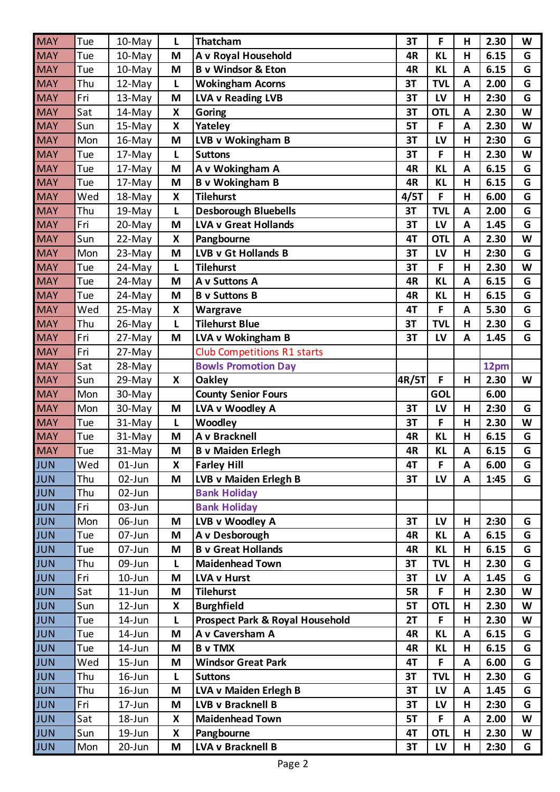| <b>MAY</b> | Tue | 10-May     | L | <b>Thatcham</b>                    | 3T        | F          | н | 2.30 | W |
|------------|-----|------------|---|------------------------------------|-----------|------------|---|------|---|
| <b>MAY</b> | Tue | 10-May     | M | A v Royal Household                | 4R        | <b>KL</b>  | Н | 6.15 | G |
| <b>MAY</b> | Tue | 10-May     | M | <b>B</b> v Windsor & Eton          | 4R        | <b>KL</b>  | A | 6.15 | G |
| <b>MAY</b> | Thu | 12-May     | L | <b>Wokingham Acorns</b>            | 3T        | <b>TVL</b> | A | 2.00 | G |
| <b>MAY</b> | Fri | 13-May     | M | <b>LVA v Reading LVB</b>           | 3T        | LV         | н | 2:30 | G |
| <b>MAY</b> | Sat | 14-May     | X | Goring                             | 3T        | <b>OTL</b> | A | 2.30 | W |
| <b>MAY</b> | Sun | 15-May     | X | Yateley                            | 5T        | F          | A | 2.30 | W |
| <b>MAY</b> | Mon | 16-May     | M | LVB v Wokingham B                  | 3T        | LV         | Н | 2:30 | G |
| <b>MAY</b> | Tue | 17-May     | L | <b>Suttons</b>                     | 3T        | F          | Н | 2.30 | W |
| <b>MAY</b> | Tue | 17-May     | M | A v Wokingham A                    | 4R        | <b>KL</b>  | A | 6.15 | G |
| <b>MAY</b> | Tue | 17-May     | M | <b>B</b> v Wokingham B             | 4R        | <b>KL</b>  | н | 6.15 | G |
| <b>MAY</b> | Wed | 18-May     | X | <b>Tilehurst</b>                   | 4/5T      | F          | н | 6.00 | G |
| <b>MAY</b> | Thu | 19-May     | L | <b>Desborough Bluebells</b>        | 3T        | <b>TVL</b> | A | 2.00 | G |
| <b>MAY</b> | Fri | 20-May     | M | <b>LVA v Great Hollands</b>        | 3T        | LV         | A | 1.45 | G |
| <b>MAY</b> | Sun | 22-May     | X | Pangbourne                         | 4T        | <b>OTL</b> | A | 2.30 | W |
| <b>MAY</b> | Mon | 23-May     | M | LVB v Gt Hollands B                | 3T        | LV         | н | 2:30 | G |
| <b>MAY</b> | Tue | 24-May     | L | <b>Tilehurst</b>                   | 3T        | F          | Н | 2.30 | W |
| <b>MAY</b> | Tue | 24-May     | M | A v Suttons A                      | 4R        | <b>KL</b>  | A | 6.15 | G |
| <b>MAY</b> | Tue | 24-May     | M | <b>B</b> v Suttons B               | 4R        | <b>KL</b>  | н | 6.15 | G |
| <b>MAY</b> | Wed | 25-May     | X | Wargrave                           | 4T        | F          | A | 5.30 | G |
| <b>MAY</b> | Thu | 26-May     | L | <b>Tilehurst Blue</b>              | 3T        | <b>TVL</b> | Н | 2.30 | G |
| <b>MAY</b> | Fri | 27-May     | M | LVA v Wokingham B                  | 3T        | LV         | A | 1.45 | G |
| <b>MAY</b> | Fri | 27-May     |   | <b>Club Competitions R1 starts</b> |           |            |   |      |   |
| <b>MAY</b> | Sat | 28-May     |   | <b>Bowls Promotion Day</b>         |           |            |   | 12pm |   |
| <b>MAY</b> | Sun | 29-May     | X | <b>Oakley</b>                      | 4R/5T     | F          | н | 2.30 | W |
| <b>MAY</b> | Mon | 30-May     |   | <b>County Senior Fours</b>         |           | <b>GOL</b> |   | 6.00 |   |
| <b>MAY</b> | Mon | 30-May     | M | LVA v Woodley A                    | 3T        | LV         | н | 2:30 | G |
| <b>MAY</b> | Tue | 31-May     | Г | <b>Woodley</b>                     | 3T        | F          | H | 2.30 | W |
| <b>MAY</b> | Tue | 31-May     | M | A v Bracknell                      | 4R        | <b>KL</b>  | н | 6.15 | G |
| <b>MAY</b> | Tue | 31-May     | M | <b>B</b> v Maiden Erlegh           | 4R        | <b>KL</b>  | A | 6.15 | G |
| JUN        | Wed | $01$ -Jun  | X | <b>Farley Hill</b>                 | 4T        | F.         | A | 6.00 | G |
| <b>JUN</b> | Thu | 02-Jun     | M | LVB v Maiden Erlegh B              | 3T        | LV         | A | 1:45 | G |
| <b>JUN</b> | Thu | 02-Jun     |   | <b>Bank Holiday</b>                |           |            |   |      |   |
| <b>JUN</b> | Fri | 03-Jun     |   | <b>Bank Holiday</b>                |           |            |   |      |   |
| <b>JUN</b> | Mon | 06-Jun     | M | LVB v Woodley A                    | 3T        | LV         | н | 2:30 | G |
| <b>JUN</b> | Tue | 07-Jun     | M | A v Desborough                     | 4R        | <b>KL</b>  | A | 6.15 | G |
| <b>JUN</b> | Tue | 07-Jun     | M | <b>B v Great Hollands</b>          | 4R        | <b>KL</b>  | н | 6.15 | G |
| <b>JUN</b> | Thu | 09-Jun     | L | <b>Maidenhead Town</b>             | 3T        | <b>TVL</b> | Н | 2.30 | G |
| <b>JUN</b> | Fri | $10$ -Jun  | M | <b>LVA v Hurst</b>                 | 3T        | LV         | A | 1.45 | G |
| <b>JUN</b> | Sat | $11$ -Jun  | M | <b>Tilehurst</b>                   | <b>5R</b> | F          | н | 2.30 | W |
| <b>JUN</b> | Sun | $12$ -Jun  | X | <b>Burghfield</b>                  | 5T        | <b>OTL</b> | н | 2.30 | W |
| <b>JUN</b> | Tue | 14-Jun     | L | Prospect Park & Royal Household    | 2T        | F          | Н | 2.30 | W |
| <b>JUN</b> | Tue | 14-Jun     | M | A v Caversham A                    | 4R        | <b>KL</b>  | A | 6.15 | G |
| <b>JUN</b> | Tue | 14-Jun     | M | <b>B</b> v TMX                     | 4R        | <b>KL</b>  | н | 6.15 | G |
| <b>JUN</b> | Wed | $15 - Jun$ | M | <b>Windsor Great Park</b>          | 4T        | F          | A | 6.00 | G |
| <b>JUN</b> | Thu | $16$ -Jun  | Г | <b>Suttons</b>                     | 3T        | <b>TVL</b> | Н | 2.30 | G |
| <b>JUN</b> | Thu | $16$ -Jun  | M | LVA v Maiden Erlegh B              | 3T        | LV         | A | 1.45 | G |
| <b>JUN</b> | Fri | $17 - Jun$ | M | <b>LVB v Bracknell B</b>           | 3T        | LV         | н | 2:30 | G |
| <b>JUN</b> | Sat | 18-Jun     | X | <b>Maidenhead Town</b>             | 5T        | F          | A | 2.00 | W |
| <b>JUN</b> | Sun | 19-Jun     | X | Pangbourne                         | 4T        | <b>OTL</b> | Н | 2.30 | W |
| <b>JUN</b> | Mon | $20$ -Jun  | M | LVA v Bracknell B                  | 3T        | LV         | H | 2:30 | G |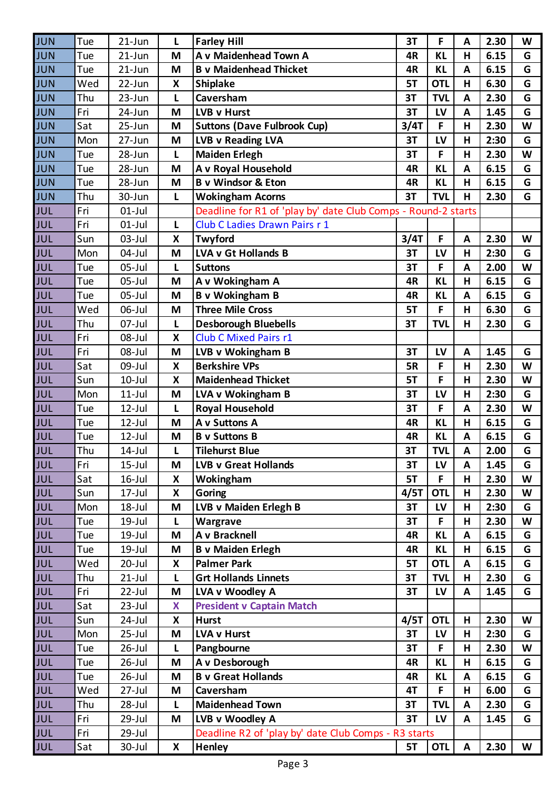| JUN        | Tue | $21$ -Jun  | L | <b>Farley Hill</b>                                            | 3T        | F          | A | 2.30 | W |
|------------|-----|------------|---|---------------------------------------------------------------|-----------|------------|---|------|---|
| <b>JUN</b> | Tue | $21$ -Jun  | M | A v Maidenhead Town A                                         | 4R        | <b>KL</b>  | H | 6.15 | G |
| <b>JUN</b> | Tue | $21$ -Jun  | M | <b>B v Maidenhead Thicket</b>                                 | 4R        | <b>KL</b>  | A | 6.15 | G |
| <b>JUN</b> | Wed | 22-Jun     | X | <b>Shiplake</b>                                               | 5T        | <b>OTL</b> | Н | 6.30 | G |
| <b>JUN</b> | Thu | $23 - Jun$ | Г | Caversham                                                     | 3T        | <b>TVL</b> | A | 2.30 | G |
| <b>JUN</b> | Fri | 24-Jun     | M | LVB v Hurst                                                   | 3T        | LV         | A | 1.45 | G |
| <b>JUN</b> | Sat | $25 - Jun$ | M | <b>Suttons (Dave Fulbrook Cup)</b>                            | 3/4T      | F          | Н | 2.30 | W |
| <b>JUN</b> | Mon | 27-Jun     | M | <b>LVB v Reading LVA</b>                                      | 3T        | LV         | H | 2:30 | G |
| <b>JUN</b> | Tue | 28-Jun     | Г | <b>Maiden Erlegh</b>                                          | 3T        | F          | н | 2.30 | W |
| <b>JUN</b> | Tue | 28-Jun     | M | A v Royal Household                                           | 4R        | <b>KL</b>  | A | 6.15 | G |
| <b>JUN</b> | Tue | 28-Jun     | M | <b>B</b> v Windsor & Eton                                     | 4R        | <b>KL</b>  | Н | 6.15 | G |
| <b>JUN</b> | Thu | 30-Jun     | Г | <b>Wokingham Acorns</b>                                       | 3T        | <b>TVL</b> | н | 2.30 | G |
| <b>JUL</b> | Fri | $01$ -Jul  |   | Deadline for R1 of 'play by' date Club Comps - Round-2 starts |           |            |   |      |   |
| <b>JUL</b> | Fri | $01$ -Jul  | L | Club C Ladies Drawn Pairs r 1                                 |           |            |   |      |   |
| <b>JUL</b> | Sun | $03$ -Jul  | X | Twyford                                                       | 3/4T      | F          | A | 2.30 | W |
| JUL        | Mon | 04-Jul     | M | LVA v Gt Hollands B                                           | 3T        | LV         | Н | 2:30 | G |
| <b>JUL</b> | Tue | $05$ -Jul  | Г | <b>Suttons</b>                                                | 3T        | F          | A | 2.00 | W |
| JUL        | Tue | $05$ -Jul  | M | A v Wokingham A                                               | 4R        | <b>KL</b>  | Н | 6.15 | G |
| <b>JUL</b> | Tue | $05$ -Jul  | M | <b>B</b> v Wokingham B                                        | 4R        | <b>KL</b>  | A | 6.15 | G |
| JUL        | Wed | 06-Jul     | M | <b>Three Mile Cross</b>                                       | 5T        | F          | H | 6.30 | G |
| <b>JUL</b> | Thu | 07-Jul     | Г | <b>Desborough Bluebells</b>                                   | 3T        | <b>TVL</b> | н | 2.30 | G |
| <b>JUL</b> | Fri | 08-Jul     | X | <b>Club C Mixed Pairs r1</b>                                  |           |            |   |      |   |
| <b>JUL</b> | Fri | 08-Jul     | M | LVB v Wokingham B                                             | 3T        | LV         | A | 1.45 | G |
| JUL        | Sat | 09-Jul     | X | <b>Berkshire VPs</b>                                          | <b>5R</b> | F          | H | 2.30 | W |
| <b>JUL</b> | Sun | $10$ -Jul  | X | <b>Maidenhead Thicket</b>                                     | 5T        | F          | н | 2.30 | W |
| <b>JUL</b> | Mon | $11$ -Jul  | M | LVA v Wokingham B                                             | 3T        | LV         | Н | 2:30 | G |
| <b>JUL</b> | Tue | $12$ -Jul  | Г | <b>Royal Household</b>                                        | 3T        | F          | A | 2.30 | W |
| JUL        | Tue | 12-Jul     | M | A v Suttons A                                                 | 4R        | <b>KL</b>  | Н | 6.15 | G |
| <b>JUL</b> | Tue | $12$ -Jul  | M | <b>B</b> v Suttons B                                          | 4R        | <b>KL</b>  | A | 6.15 | G |
| JUL        | Thu | $14$ -Jul  |   | <b>Tilehurst Blue</b>                                         | 3T        | <b>TVL</b> | A | 2.00 | G |
| JUL        | Fri | $15$ -Jul  | M | <b>LVB v Great Hollands</b>                                   | 3T        | LV         | A | 1.45 | G |
| <b>JUL</b> | Sat | $16$ -Jul  | X | Wokingham                                                     | 5T        | F          | H | 2.30 | W |
| <b>JUL</b> | Sun | $17 -$ Jul | X | Goring                                                        | 4/5T      | <b>OTL</b> | H | 2.30 | W |
| <b>JUL</b> | Mon | $18 -$ Jul | M | LVB v Maiden Erlegh B                                         | 3T        | LV         | н | 2:30 | G |
| <b>JUL</b> | Tue | $19$ -Jul  | L | <b>Wargrave</b>                                               | 3T        | F.         | Н | 2.30 | W |
| <b>JUL</b> | Tue | $19$ -Jul  | M | A v Bracknell                                                 | 4R        | <b>KL</b>  | A | 6.15 | G |
| <b>JUL</b> | Tue | $19$ -Jul  | M | <b>B v Maiden Erlegh</b>                                      | 4R        | <b>KL</b>  | H | 6.15 | G |
| <b>JUL</b> | Wed | $20 -$ Jul | X | <b>Palmer Park</b>                                            | 5T        | <b>OTL</b> | A | 6.15 | G |
| <b>JUL</b> | Thu | $21-Jul$   | L | <b>Grt Hollands Linnets</b>                                   | 3T        | <b>TVL</b> | н | 2.30 | G |
| <b>JUL</b> | Fri | 22-Jul     | M | LVA v Woodley A                                               | 3T        | LV         | A | 1.45 | G |
| <b>JUL</b> | Sat | $23$ -Jul  | X | <b>President v Captain Match</b>                              |           |            |   |      |   |
| <b>JUL</b> | Sun | 24-Jul     | X | <b>Hurst</b>                                                  | 4/5T      | <b>OTL</b> | H | 2.30 | W |
| <b>JUL</b> | Mon | $25 -$ Jul | M | <b>LVA v Hurst</b>                                            | 3T        | LV         | Н | 2:30 | G |
| <b>JUL</b> | Tue | $26$ -Jul  | L | Pangbourne                                                    | 3T        | F          | Н | 2.30 | W |
| <b>JUL</b> | Tue | $26$ -Jul  | M | A v Desborough                                                | 4R        | <b>KL</b>  | H | 6.15 | G |
| <b>JUL</b> | Tue | $26$ -Jul  | M | <b>B v Great Hollands</b>                                     | 4R        | <b>KL</b>  | A | 6.15 | G |
| <b>JUL</b> | Wed | $27 -$ Jul | M | Caversham                                                     | 4T        | F          | н | 6.00 | G |
| <b>JUL</b> | Thu | 28-Jul     | L | <b>Maidenhead Town</b>                                        | 3T        | <b>TVL</b> | A | 2.30 | G |
| <b>JUL</b> | Fri | 29-Jul     | M | LVB v Woodley A                                               | 3T        | LV         | A | 1.45 | G |
| <b>JUL</b> | Fri | 29-Jul     |   | Deadline R2 of 'play by' date Club Comps - R3 starts          |           |            |   |      |   |
| JUL        | Sat | 30-Jul     | X | Henley                                                        | 5T        | <b>OTL</b> | A | 2.30 | W |
|            |     |            |   |                                                               |           |            |   |      |   |